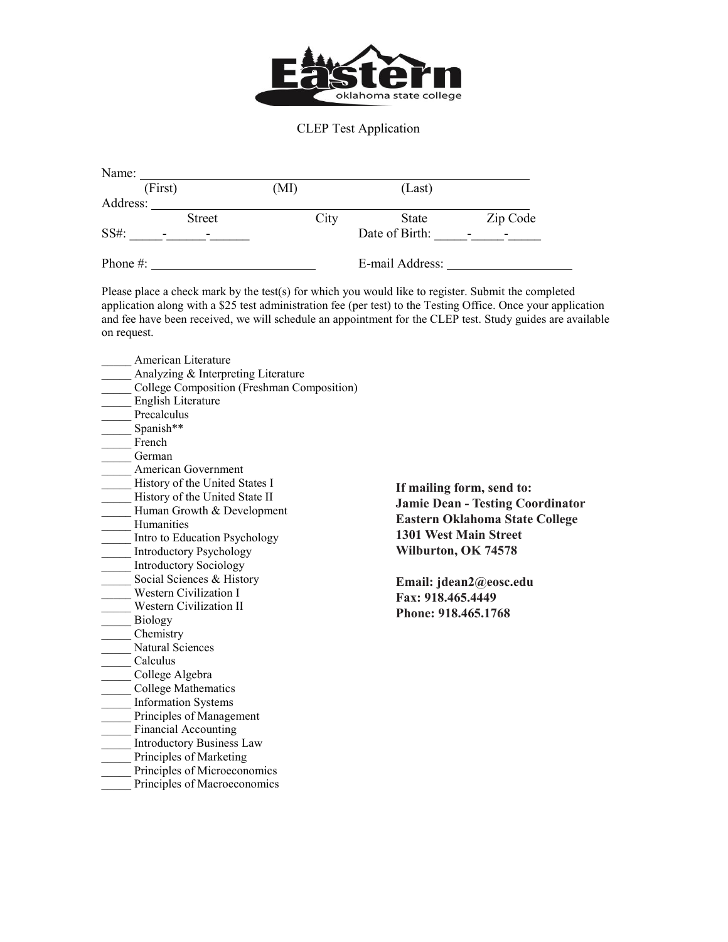

## CLEP Test Application

| Name:                            |                          |      |                 |          |
|----------------------------------|--------------------------|------|-----------------|----------|
| (First)                          |                          | (MI) | (Last)          |          |
| Address:                         |                          |      |                 |          |
|                                  | <b>Street</b>            | City | <b>State</b>    | Zip Code |
| SS#:<br>$\overline{\phantom{a}}$ | $\overline{\phantom{0}}$ |      | Date of Birth:  |          |
| Phone #:                         |                          |      | E-mail Address: |          |

Please place a check mark by the test(s) for which you would like to register. Submit the completed application along with a \$25 test administration fee (per test) to the Testing Office. Once your application and fee have been received, we will schedule an appointment for the CLEP test. Study guides are available on request.

American Literature Analyzing & Interpreting Literature College Composition (Freshman Composition) \_\_\_\_\_ English Literature Precalculus Spanish\*\* French \_\_\_\_\_ German \_\_\_\_\_ American Government History of the United States I History of the United State II Human Growth & Development \_\_\_\_\_ Humanities **Eastern Oklahoma State College Eastern Oklahoma State College** Intro to Education Psychology Introductory Psychology Introductory Sociology<br>Social Sciences & History **Email: jdean2@eosc.edu**<br> **Email: jdean2@eosc.edu** Western Civilization I **Western Civilization II** \_\_\_\_\_ Biology \_\_\_\_\_ Chemistry Natural Sciences \_\_\_\_\_ Calculus College Algebra \_\_\_\_\_ College Mathematics \_\_\_\_\_ Information Systems Principles of Management Financial Accounting \_\_\_\_\_ Introductory Business Law Principles of Marketing Principles of Microeconomics Principles of Macroeconomics

**If mailing form, send to: Jamie Dean - Testing Coordinator 1301 West Main Street Wilburton, OK 74578**

**Fax: 918.465.4449 Phone: 918.465.1768**